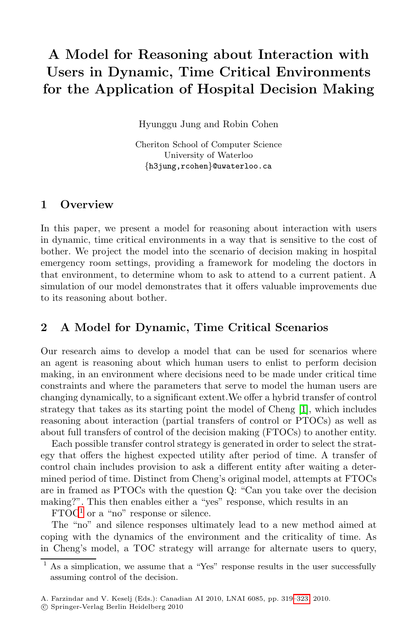# **A Model for Reasoning about Interaction with Users in Dynamic, Time Critical Environments for the Application of Hospital Decision Making**

Hyunggu Jung and Robin Cohen

Cheriton School of Computer Science University of Waterloo *{*h3jung,rcohen*}*@uwaterloo.ca

### **1 Overview**

In this paper, we present a model for reasoning about interaction with users in dynamic, time critical environments in a way that is sensitive to the cost of bother. We project the model into the scenario of decision making in hospital emergency room settings, providing a framework for modeling the doctors in that environment, to determine whom to ask to attend to a current patient. A simulation of our model demonstrates that it offers valuable improvements due to its reasoning about bother.

### **2 A Model for Dynamic, Tim[e](#page-3-0) Critical Scenarios**

Our research aims to develop a model that can be used for scenarios where an agent is reasoning about which human users to enlist to perform decision making, in an environment where decisions need to be made under critical time constraints and where the parameters that serve to model the human users are changing dynamically, to a significant extent.We offer a hybrid transfer of control strategy that takes as its starting point the model of Cheng [1], which includes reasoning about interaction (partial transfers of control or PTOCs) as well as about full transfers of control of the decision making (FTOCs) to another entity.

Each possible transfer control strategy is generated in order to select the strategy that offers the highest expected utility after period of time. A transfer of control chain includes provision to ask a different entity after waiting a determined period of time. Distinct from Cheng's original model, attempts at FTOCs are in framed as PTOCs with the question Q: "Can you take over the decision making?". This then enables either a "y[es"](#page-4-0) [r](#page-4-0)esponse, which results in an

FTOC<sup>1</sup> or a "no" response or silence.

The "no" and silence responses ultimately lead to a new method aimed at coping with the dynamics of the environment and the criticality of time. As in Cheng's model, a TOC strategy will arrange for alternate users to query,

<sup>1</sup> As a simplication, we assume that a "Yes" response results in the user successfully assuming control of the decision.

A. Farzindar and V. Keselj (Eds.): Canadian AI 2010, LNAI 6085, pp. 319–323, 2010.

<sup>-</sup>c Springer-Verlag Berlin Heidelberg 2010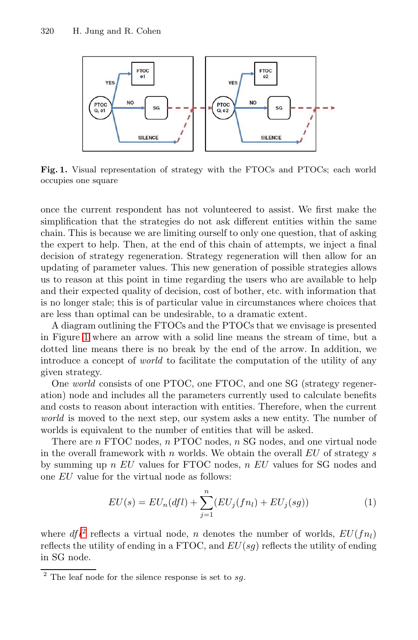#### 320 H. Jung and R. Cohen



**Fig. 1.** Visual representation of strategy with the FTOCs and PTOCs; each world occupies one square

once the current respondent has not volunteered to assist. We first make the simplification that the strategies do not ask different entities within the same chain. This is because we are limiting ourself to only one question, that of asking the expert to help. Then, at the end of this chain of attempts, we inject a final decision of strategy regeneration. Strategy regeneration will then allow for an updating of parameter values. This new generation of possible strategies allows us to reason at this point in time regarding the users who are available to help and their expected quality of decision, cost of bother, etc. with information that is no longer stale; this is of particular value in circumstances where choices that are less than optimal can be undesirable, to a dramatic extent.

A diagram outlining the FTOCs and the PTOCs that we envisage is presented in Figure 1 where an arrow with a solid line means the stream of time, but a dotted line means there is no break by the end of the arrow. In addition, we introduce a concept of *world* to facilitate the computation of the utility of any given strategy.

One *world* consists of one PTOC, one FTOC, and one SG (strategy regeneration) node and includes all the parameters currently used to calculate benefits and costs to reason about interaction with entities. Therefore, when the current *world* is moved to the next step, our system asks a new entity. The number of worlds is equivalent to the number of entities that will be asked.

There are n FTOC nodes, n PTOC nodes, n SG nodes, and one virtual node in the overall framework with  $n$  worlds. We obtain the overall  $EU$  of strategy  $s$ by summing up  $n$  EU values for FTOC nodes,  $n$  EU values for SG nodes and one EU value for the virtual node as follows:

$$
EU(s) = EU_n(dfl) + \sum_{j=1}^{n} (EU_j(fn_l) + EU_j(sg))
$$
 (1)

where  $d\mathfrak{f}l^2$  reflects a virtual node, n denotes the number of worlds,  $EU(fn)$ reflects the utility of ending in a FTOC, and  $EU(sq)$  reflects the utility of ending in SG node.

<sup>2</sup> The leaf node for the silence response is set to *sg*.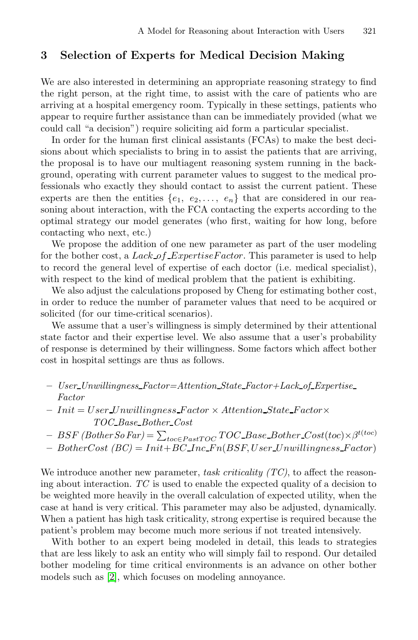### **3 Selection of Experts for Medical Decision Making**

We are also interested in determining an appropriate reasoning strategy to find the right person, at the right time, to assist with the care of patients who are arriving at a hospital emergency room. Typically in these settings, patients who appear to require further assistance than can be immediately provided (what we could call "a decision") require soliciting aid form a particular specialist.

In order for the human first clinical assistants (FCAs) to make the best decisions about which specialists to bring in to assist the patients that are arriving, the proposal is to have our multiagent reasoning system running in the background, operating with current parameter values to suggest to the medical professionals who exactly they should contact to assist the current patient. These experts are then the entities  $\{e_1, e_2, \ldots, e_n\}$  that are considered in our reasoning about interaction, with the FCA contacting the experts according to the optimal strategy our model generates (who first, waiting for how long, before contacting who next, etc.)

We propose the addition of one new parameter as part of the user modeling for the bother cost, a Lack of  $ExpertiseFactor$ . This parameter is used to help to record the general level of expertise of each doctor (i.e. medical specialist), with respect to the kind of medical problem that the patient is exhibiting.

We also adjust the calculations proposed by Cheng for estimating bother cost, in order to reduce the number of parameter values that need to be acquired or solicited (for our time-critical scenarios).

We assume that a user's willingness is simply determined by their attentional state factor and their expertise level. We also assume that a user's probability of response is determined by their willingness. Some factors which affect bother cost in hospital settings are thus as follows.

- **–** *User Unwillingness Factor=Attention State Factor+Lack of Expertise Factor*
- **–** Init = User Unwillingness F actor *×* Attention State F actor*× TOC Base Bother Cost*
- $-PSSF(BotherSo Far) = \sum_{toc \in PastTOC} TOC\_Base\_Bother\_Cost(toc) \times \beta^{t(toc)}$
- **–** BotherCost *(BC)* = Init+BC Inc F n(BSF, User Unwillingness F actor)

We introduce another new parameter, *task criticality (TC)*, to affect the reasoning about interaction. *TC* is used to enable the expected quality of a decision to be weighted more heavily in the overall calculation of expected utility, when the case at hand is very critical. This parameter may also be adjusted, dynamically. When a patient has high task criticality, strong expertise is required because the patient's problem may become much more serious if not treated intensively.

With bother to an expert being modeled in detail, this leads to strategies that are less likely to ask an entity who will simply fail to respond. Our detailed bother modeling for time critical environments is an advance on other bother models such as [2], which focuses on modeling annoyance.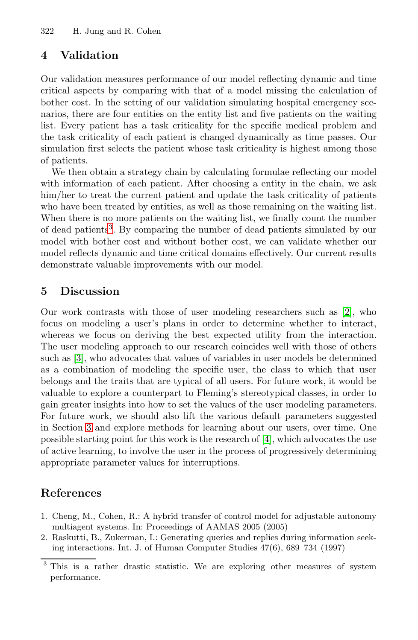322 H. Jung and R. Cohen

## **4 Validation**

Our validation measures performance of our model reflecting dynamic and time critical aspects by comparing with that of a model missing the calculation of bother cost. In the setting of our validation simulating hospital emergency scenarios, there are four entities on the entity list and five patients on the waiting list. Every patient has a task criticality for the specific medical problem and the task criticality of each patient is changed dynamically as time passes. Our simulation first selects the patient whose task criticality is highest among those of patients.

We then obtain a strategy chain by calculating formulae reflecting our model with information of each patient. After choosing a entity in the chain, we ask him/her to treat the current patient and update the task criticality of patients who have been treated by entities, as well as those remaining on the waiting list. When there is no more patients on the waiting list, [we](#page-3-1) finally count the number of dead patients<sup>3</sup>. By comparing the number of dead patients simulated by our model with bother cost and without bother cost, we can validate whether our model reflects dynamic and time critical domains effectively. Our current results demonstrate valuable improvements with our model.

#### **5 Discussion**

Our work contrasts with those of user modeling researchers such as [2], who focus on modeling a user's plans in order to determine whether to interact, whereas we focus on deriving the best expected utility from the interaction. The user modeling approach to o[ur](#page-4-1) research coincides well with those of others such as [3], who advocates that values of variables in user models be determined as a combination of modeling the specific user, the class to which that user belongs and the traits that are typical of all users. For future work, it would be valuable to explore a counterpart to Fleming's stereotypical classes, in order to gain greater insights into how to set the values of the user modeling parameters. For future work, we should also lift the various default parameters suggested in Section 3 and explore methods for learning about our users, over time. One possible starting point for this work is the research of [4], which advocates the use of active learning, to involve the user in the process of progressively determining appropriate parameter values for interruptions.

#### <span id="page-3-1"></span><span id="page-3-0"></span>**References**

- 1. Cheng, M., Cohen, R.: A hybrid transfer of control model for adjustable autonomy multiagent systems. In: Proceedings of AAMAS 2005 (2005)
- 2. Raskutti, B., Zukerman, I.: Generating queries and replies during information seeking interactions. Int. J. of Human Computer Studies 47(6), 689–734 (1997)

<sup>3</sup> This is a rather drastic statistic. We are exploring other measures of system performance.